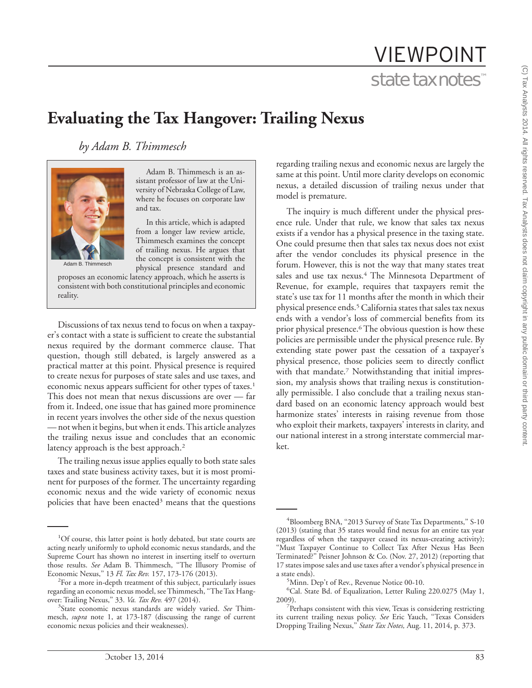# VIEWPOINT state tax notes™

# **Evaluating the Tax Hangover: Trailing Nexus**

*by Adam B. Thimmesch*



Adam B. Thimmesch is an assistant professor of law at the University of Nebraska College of Law, where he focuses on corporate law and tax.

In this article, which is adapted from a longer law review article, Thimmesch examines the concept of trailing nexus. He argues that the concept is consistent with the physical presence standard and

Adam B. Thimmesch

proposes an economic latency approach, which he asserts is consistent with both constitutional principles and economic reality.

Discussions of tax nexus tend to focus on when a taxpayer's contact with a state is sufficient to create the substantial nexus required by the dormant commerce clause. That question, though still debated, is largely answered as a practical matter at this point. Physical presence is required to create nexus for purposes of state sales and use taxes, and economic nexus appears sufficient for other types of taxes.<sup>1</sup> This does not mean that nexus discussions are over — far from it. Indeed, one issue that has gained more prominence in recent years involves the other side of the nexus question — not when it begins, but when it ends.This article analyzes the trailing nexus issue and concludes that an economic latency approach is the best approach.<sup>2</sup>

The trailing nexus issue applies equally to both state sales taxes and state business activity taxes, but it is most prominent for purposes of the former. The uncertainty regarding economic nexus and the wide variety of economic nexus policies that have been enacted<sup>3</sup> means that the questions

regarding trailing nexus and economic nexus are largely the same at this point. Until more clarity develops on economic nexus, a detailed discussion of trailing nexus under that model is premature.

The inquiry is much different under the physical presence rule. Under that rule, we know that sales tax nexus exists if a vendor has a physical presence in the taxing state. One could presume then that sales tax nexus does not exist after the vendor concludes its physical presence in the forum. However, this is not the way that many states treat sales and use tax nexus.<sup>4</sup> The Minnesota Department of Revenue, for example, requires that taxpayers remit the state's use tax for 11 months after the month in which their physical presence ends.<sup>5</sup> California states that sales tax nexus ends with a vendor's loss of commercial benefits from its prior physical presence.<sup>6</sup> The obvious question is how these policies are permissible under the physical presence rule. By extending state power past the cessation of a taxpayer's physical presence, those policies seem to directly conflict with that mandate.<sup>7</sup> Notwithstanding that initial impression, my analysis shows that trailing nexus is constitutionally permissible. I also conclude that a trailing nexus standard based on an economic latency approach would best harmonize states' interests in raising revenue from those who exploit their markets, taxpayers' interests in clarity, and our national interest in a strong interstate commercial market.

<sup>&</sup>lt;sup>1</sup>Of course, this latter point is hotly debated, but state courts are acting nearly uniformly to uphold economic nexus standards, and the Supreme Court has shown no interest in inserting itself to overturn those results. *See* Adam B. Thimmesch, ''The Illusory Promise of Economic Nexus,'' 13 *Fl. Tax Rev.* 157, 173-176 (2013). <sup>2</sup>

 $2$ For a more in-depth treatment of this subject, particularly issues regarding an economic nexus model, see Thimmesch, ''The Tax Hangover: Trailing Nexus,'' 33. *Va. Tax Rev.* 497 (2014). <sup>3</sup>

State economic nexus standards are widely varied. *See* Thimmesch, *supra* note 1, at 173-187 (discussing the range of current economic nexus policies and their weaknesses).

<sup>&</sup>lt;sup>4</sup>Bloomberg BNA, "2013 Survey of State Tax Departments," S-10 (2013) (stating that 35 states would find nexus for an entire tax year regardless of when the taxpayer ceased its nexus-creating activity); "Must Taxpayer Continue to Collect Tax After Nexus Has Been Terminated?'' Peisner Johnson & Co. (Nov. 27, 2012) (reporting that 17 states impose sales and use taxes after a vendor's physical presence in a state ends).

Minn. Dep't of Rev., Revenue Notice 00-10.

<sup>6</sup> Cal. State Bd. of Equalization, Letter Ruling 220.0275 (May 1,  $2009$ ).

Perhaps consistent with this view, Texas is considering restricting its current trailing nexus policy. *See* Eric Yauch, ''Texas Considers Dropping Trailing Nexus,'' *State Tax Notes,* Aug. 11, 2014, p. 373.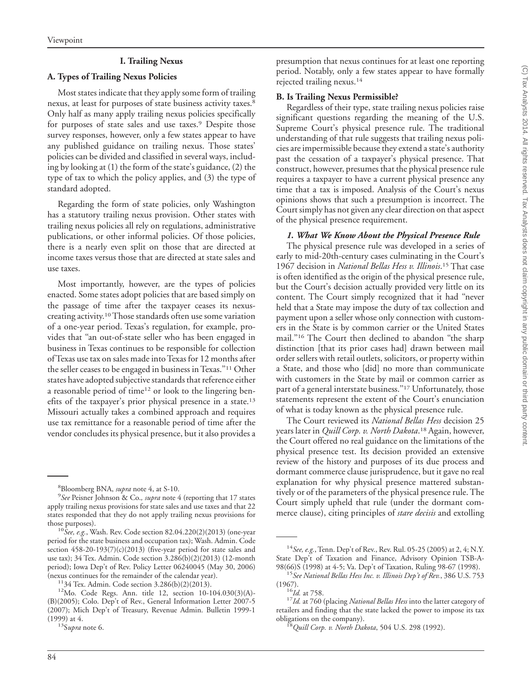#### **I. Trailing Nexus**

#### **A. Types of Trailing Nexus Policies**

Most states indicate that they apply some form of trailing nexus, at least for purposes of state business activity taxes.<sup>8</sup> Only half as many apply trailing nexus policies specifically for purposes of state sales and use taxes.<sup>9</sup> Despite those survey responses, however, only a few states appear to have any published guidance on trailing nexus. Those states' policies can be divided and classified in several ways, including by looking at (1) the form of the state's guidance, (2) the type of tax to which the policy applies, and (3) the type of standard adopted.

Regarding the form of state policies, only Washington has a statutory trailing nexus provision. Other states with trailing nexus policies all rely on regulations, administrative publications, or other informal policies. Of those policies, there is a nearly even split on those that are directed at income taxes versus those that are directed at state sales and use taxes.

Most importantly, however, are the types of policies enacted. Some states adopt policies that are based simply on the passage of time after the taxpayer ceases its nexuscreating activity.10Those standards often use some variation of a one-year period. Texas's regulation, for example, provides that ''an out-of-state seller who has been engaged in business in Texas continues to be responsible for collection of Texas use tax on sales made into Texas for 12 months after the seller ceases to be engaged in business in Texas.''11 Other states have adopted subjective standards that reference either a reasonable period of time<sup>12</sup> or look to the lingering benefits of the taxpayer's prior physical presence in a state.<sup>13</sup> Missouri actually takes a combined approach and requires use tax remittance for a reasonable period of time after the vendor concludes its physical presence, but it also provides a

presumption that nexus continues for at least one reporting period. Notably, only a few states appear to have formally rejected trailing nexus.14

#### **B. Is Trailing Nexus Permissible?**

Regardless of their type, state trailing nexus policies raise significant questions regarding the meaning of the U.S. Supreme Court's physical presence rule. The traditional understanding of that rule suggests that trailing nexus policies are impermissible because they extend a state's authority past the cessation of a taxpayer's physical presence. That construct, however, presumes that the physical presence rule requires a taxpayer to have a current physical presence any time that a tax is imposed. Analysis of the Court's nexus opinions shows that such a presumption is incorrect. The Court simply has not given any clear direction on that aspect of the physical presence requirement.

#### *1. What We Know About the Physical Presence Rule*

The physical presence rule was developed in a series of early to mid-20th-century cases culminating in the Court's 1967 decision in *National Bellas Hess v. Illinois*. <sup>15</sup> That case is often identified as the origin of the physical presence rule, but the Court's decision actually provided very little on its content. The Court simply recognized that it had ''never held that a State may impose the duty of tax collection and payment upon a seller whose only connection with customers in the State is by common carrier or the United States mail.''16 The Court then declined to abandon ''the sharp distinction [that its prior cases had] drawn between mail order sellers with retail outlets, solicitors, or property within a State, and those who [did] no more than communicate with customers in the State by mail or common carrier as part of a general interstate business.''17 Unfortunately, those statements represent the extent of the Court's enunciation of what is today known as the physical presence rule.

The Court reviewed its *National Bellas Hess* decision 25 years later in *Quill Corp. v. North Dakota*. <sup>18</sup> Again, however, the Court offered no real guidance on the limitations of the physical presence test. Its decision provided an extensive review of the history and purposes of its due process and dormant commerce clause jurisprudence, but it gave no real explanation for why physical presence mattered substantively or of the parameters of the physical presence rule. The Court simply upheld that rule (under the dormant commerce clause), citing principles of *stare decisis* and extolling

<sup>&</sup>lt;sup>8</sup> Bloomberg BNA, *supra* note 4, at S-10.<br><sup>9</sup> See Peisner Johnson & Co., *supra* note 4

*See* Peisner Johnson & Co.*, supra* note 4 (reporting that 17 states apply trailing nexus provisions for state sales and use taxes and that 22 states responded that they do not apply trailing nexus provisions for those purposes). <sup>10</sup>*See, e.g.*, Wash. Rev. Code section 82.04.220(2)(2013) (one-year

period for the state business and occupation tax); Wash. Admin. Code section 458-20-193(7)(c)(2013) (five-year period for state sales and use tax); 34 Tex. Admin. Code section 3.286(b)(2)(2013) (12-month period); Iowa Dep't of Rev. Policy Letter 06240045 (May 30, 2006)<br>(nexus continues for the remainder of the calendar year).

<sup>&</sup>lt;sup>11</sup>34 Tex. Admin. Code section 3.286(b)(2)(2013). <sup>12</sup>Mo. Code Regs. Ann. title 12, section 10-104.030(3)(A)-(B)(2005); Colo. Dep't of Rev., General Information Letter 2007-5 (2007); Mich Dep't of Treasury, Revenue Admin. Bulletin 1999-1

<sup>(1999)</sup> at 4. 13S*upra* note 6.

<sup>14</sup>*See, e.g.*, Tenn. Dep't of Rev., Rev. Rul. 05-25 (2005) at 2, 4; N.Y. State Dep't of Taxation and Finance, Advisory Opinion TSB-A-98(66)S (1998) at 4-5; Va. Dep't of Taxation, Ruling 98-67 (1998). <sup>15</sup>*See National Bellas Hess Inc. v. Illinois Dep't of Rev.*, 386 U.S. 753

<sup>(1967).</sup> <sup>16</sup>*Id.* at 758. <sup>17</sup>*Id.* at 760 (placing *National Bellas Hess* into the latter category of retailers and finding that the state lacked the power to impose its tax obligations on the company). <sup>18</sup>*Quill Corp. v. North Dakota*, 504 U.S. 298 (1992).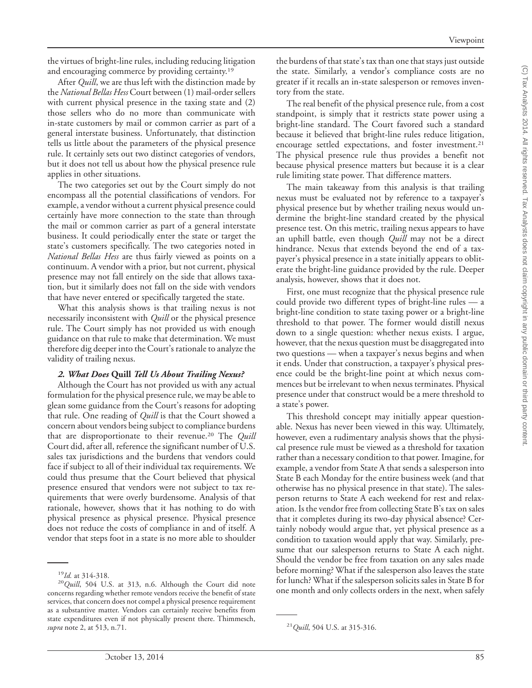the virtues of bright-line rules, including reducing litigation and encouraging commerce by providing certainty.<sup>19</sup>

After *Quill*, we are thus left with the distinction made by the *National Bellas Hess* Court between (1) mail-order sellers with current physical presence in the taxing state and (2) those sellers who do no more than communicate with in-state customers by mail or common carrier as part of a general interstate business. Unfortunately, that distinction tells us little about the parameters of the physical presence rule. It certainly sets out two distinct categories of vendors, but it does not tell us about how the physical presence rule applies in other situations.

The two categories set out by the Court simply do not encompass all the potential classifications of vendors. For example, a vendor without a current physical presence could certainly have more connection to the state than through the mail or common carrier as part of a general interstate business. It could periodically enter the state or target the state's customers specifically. The two categories noted in *National Bellas Hess* are thus fairly viewed as points on a continuum. A vendor with a prior, but not current, physical presence may not fall entirely on the side that allows taxation, but it similarly does not fall on the side with vendors that have never entered or specifically targeted the state.

What this analysis shows is that trailing nexus is not necessarily inconsistent with *Quill* or the physical presence rule. The Court simply has not provided us with enough guidance on that rule to make that determination. We must therefore dig deeper into the Court's rationale to analyze the validity of trailing nexus.

## *2. What Does* **Quill** *Tell Us About Trailing Nexus?*

Although the Court has not provided us with any actual formulation for the physical presence rule, we may be able to glean some guidance from the Court's reasons for adopting that rule. One reading of *Quill* is that the Court showed a concern about vendors being subject to compliance burdens that are disproportionate to their revenue.20 The *Quill* Court did, after all, reference the significant number of U.S. sales tax jurisdictions and the burdens that vendors could face if subject to all of their individual tax requirements. We could thus presume that the Court believed that physical presence ensured that vendors were not subject to tax requirements that were overly burdensome. Analysis of that rationale, however, shows that it has nothing to do with physical presence as physical presence. Physical presence does not reduce the costs of compliance in and of itself. A vendor that steps foot in a state is no more able to shoulder

the burdens of that state's tax than one that stays just outside the state. Similarly, a vendor's compliance costs are no greater if it recalls an in-state salesperson or removes inventory from the state.

The real benefit of the physical presence rule, from a cost standpoint, is simply that it restricts state power using a bright-line standard. The Court favored such a standard because it believed that bright-line rules reduce litigation, encourage settled expectations, and foster investment.<sup>21</sup> The physical presence rule thus provides a benefit not because physical presence matters but because it is a clear rule limiting state power. That difference matters.

The main takeaway from this analysis is that trailing nexus must be evaluated not by reference to a taxpayer's physical presence but by whether trailing nexus would undermine the bright-line standard created by the physical presence test. On this metric, trailing nexus appears to have an uphill battle, even though *Quill* may not be a direct hindrance. Nexus that extends beyond the end of a taxpayer's physical presence in a state initially appears to obliterate the bright-line guidance provided by the rule. Deeper analysis, however, shows that it does not.

First, one must recognize that the physical presence rule could provide two different types of bright-line rules — a bright-line condition to state taxing power or a bright-line threshold to that power. The former would distill nexus down to a single question: whether nexus exists. I argue, however, that the nexus question must be disaggregated into two questions — when a taxpayer's nexus begins and when it ends. Under that construction, a taxpayer's physical presence could be the bright-line point at which nexus commences but be irrelevant to when nexus terminates. Physical presence under that construct would be a mere threshold to a state's power.

This threshold concept may initially appear questionable. Nexus has never been viewed in this way. Ultimately, however, even a rudimentary analysis shows that the physical presence rule must be viewed as a threshold for taxation rather than a necessary condition to that power. Imagine, for example, a vendor from State A that sends a salesperson into State B each Monday for the entire business week (and that otherwise has no physical presence in that state). The salesperson returns to State A each weekend for rest and relaxation. Is the vendor free from collecting State B's tax on sales that it completes during its two-day physical absence? Certainly nobody would argue that, yet physical presence as a condition to taxation would apply that way. Similarly, presume that our salesperson returns to State A each night. Should the vendor be free from taxation on any sales made before morning? What if the salesperson also leaves the state for lunch? What if the salesperson solicits sales in State B for one month and only collects orders in the next, when safely

<sup>19</sup>*Id.* at 314-318. <sup>20</sup>*Quill*, 504 U.S. at 313, n.6. Although the Court did note concerns regarding whether remote vendors receive the benefit of state services, that concern does not compel a physical presence requirement as a substantive matter. Vendors can certainly receive benefits from state expenditures even if not physically present there. Thimmesch, *supra* note 2, at 513, n.71. <sup>21</sup>*Quill*, 504 U.S. at 315-316.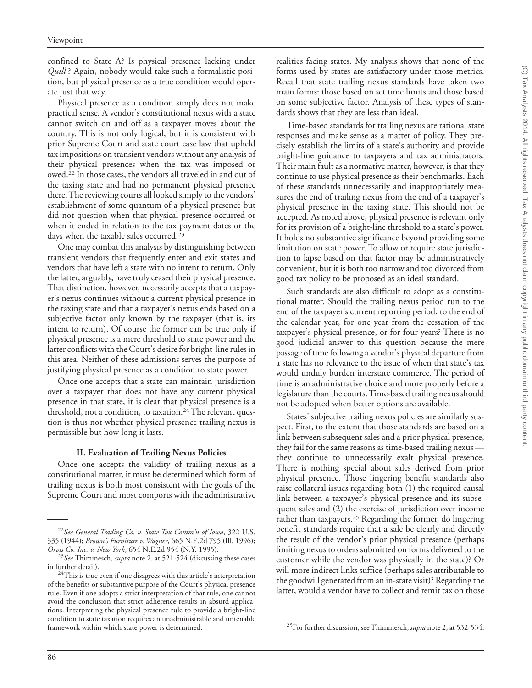confined to State A? Is physical presence lacking under *Quill* ? Again, nobody would take such a formalistic position, but physical presence as a true condition would operate just that way.

Physical presence as a condition simply does not make practical sense. A vendor's constitutional nexus with a state cannot switch on and off as a taxpayer moves about the country. This is not only logical, but it is consistent with prior Supreme Court and state court case law that upheld tax impositions on transient vendors without any analysis of their physical presences when the tax was imposed or owed.22 In those cases, the vendors all traveled in and out of the taxing state and had no permanent physical presence there. The reviewing courts all looked simply to the vendors' establishment of some quantum of a physical presence but did not question when that physical presence occurred or when it ended in relation to the tax payment dates or the days when the taxable sales occurred.23

One may combat this analysis by distinguishing between transient vendors that frequently enter and exit states and vendors that have left a state with no intent to return. Only the latter, arguably, have truly ceased their physical presence. That distinction, however, necessarily accepts that a taxpayer's nexus continues without a current physical presence in the taxing state and that a taxpayer's nexus ends based on a subjective factor only known by the taxpayer (that is, its intent to return). Of course the former can be true only if physical presence is a mere threshold to state power and the latter conflicts with the Court's desire for bright-line rules in this area. Neither of these admissions serves the purpose of justifying physical presence as a condition to state power.

Once one accepts that a state can maintain jurisdiction over a taxpayer that does not have any current physical presence in that state, it is clear that physical presence is a threshold, not a condition, to taxation.<sup>24</sup> The relevant question is thus not whether physical presence trailing nexus is permissible but how long it lasts.

#### **II. Evaluation of Trailing Nexus Policies**

Once one accepts the validity of trailing nexus as a constitutional matter, it must be determined which form of trailing nexus is both most consistent with the goals of the Supreme Court and most comports with the administrative realities facing states. My analysis shows that none of the forms used by states are satisfactory under those metrics. Recall that state trailing nexus standards have taken two main forms: those based on set time limits and those based on some subjective factor. Analysis of these types of standards shows that they are less than ideal.

Time-based standards for trailing nexus are rational state responses and make sense as a matter of policy. They precisely establish the limits of a state's authority and provide bright-line guidance to taxpayers and tax administrators. Their main fault as a normative matter, however, is that they continue to use physical presence as their benchmarks. Each of these standards unnecessarily and inappropriately measures the end of trailing nexus from the end of a taxpayer's physical presence in the taxing state. This should not be accepted. As noted above, physical presence is relevant only for its provision of a bright-line threshold to a state's power. It holds no substantive significance beyond providing some limitation on state power. To allow or require state jurisdiction to lapse based on that factor may be administratively convenient, but it is both too narrow and too divorced from good tax policy to be proposed as an ideal standard.

Such standards are also difficult to adopt as a constitutional matter. Should the trailing nexus period run to the end of the taxpayer's current reporting period, to the end of the calendar year, for one year from the cessation of the taxpayer's physical presence, or for four years? There is no good judicial answer to this question because the mere passage of time following a vendor's physical departure from a state has no relevance to the issue of when that state's tax would unduly burden interstate commerce. The period of time is an administrative choice and more properly before a legislature than the courts.Time-based trailing nexus should not be adopted when better options are available.

States' subjective trailing nexus policies are similarly suspect. First, to the extent that those standards are based on a link between subsequent sales and a prior physical presence, they fail for the same reasons as time-based trailing nexus they continue to unnecessarily exalt physical presence. There is nothing special about sales derived from prior physical presence. Those lingering benefit standards also raise collateral issues regarding both (1) the required causal link between a taxpayer's physical presence and its subsequent sales and (2) the exercise of jurisdiction over income rather than taxpayers.<sup>25</sup> Regarding the former, do lingering benefit standards require that a sale be clearly and directly the result of the vendor's prior physical presence (perhaps limiting nexus to orders submitted on forms delivered to the customer while the vendor was physically in the state)? Or will more indirect links suffice (perhaps sales attributable to the goodwill generated from an in-state visit)? Regarding the latter, would a vendor have to collect and remit tax on those

<sup>22</sup>*See General Trading Co. v. State Tax Comm'n of Iowa*, 322 U.S. 335 (1944); *Brown's Furniture v. Wagner*, 665 N.E.2d 795 (Ill. 1996);

<sup>&</sup>lt;sup>23</sup>See Thimmesch, *supra* note 2, at 521-524 (discussing these cases in further detail).

 $^{24}$ This is true even if one disagrees with this article's interpretation of the benefits or substantive purpose of the Court's physical presence rule. Even if one adopts a strict interpretation of that rule, one cannot avoid the conclusion that strict adherence results in absurd applications. Interpreting the physical presence rule to provide a bright-line condition to state taxation requires an unadministrable and untenable framework within which state power is determined. 25For further discussion, see Thimmesch, *supra* note 2, at 532-534.